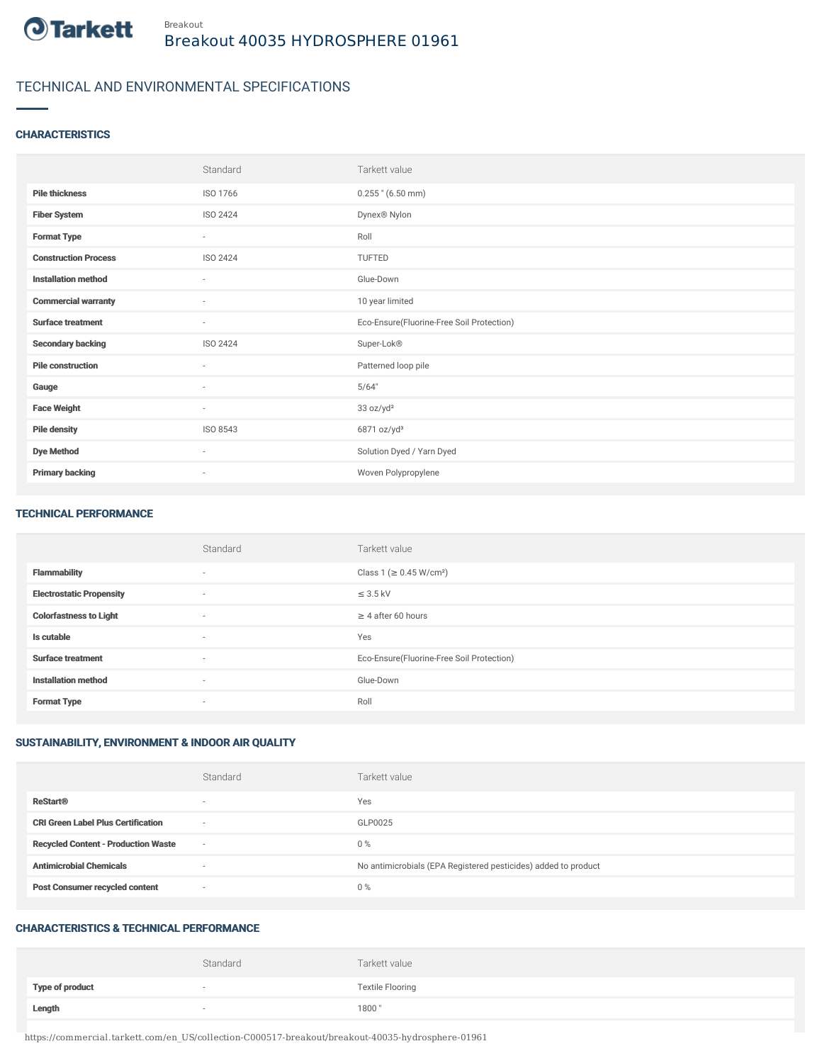

# TECHNICAL AND ENVIRONMENTAL SPECIFICATIONS

### **CHARACTERISTICS**

|                             | Standard                 | Tarkett value                             |
|-----------------------------|--------------------------|-------------------------------------------|
| <b>Pile thickness</b>       | ISO 1766                 | $0.255$ " (6.50 mm)                       |
| <b>Fiber System</b>         | ISO 2424                 | Dynex® Nylon                              |
| <b>Format Type</b>          | $\sim$                   | Roll                                      |
| <b>Construction Process</b> | ISO 2424                 | TUFTED                                    |
| <b>Installation method</b>  | $\sim$                   | Glue-Down                                 |
| <b>Commercial warranty</b>  | $\sim$                   | 10 year limited                           |
| <b>Surface treatment</b>    | $\sim$                   | Eco-Ensure(Fluorine-Free Soil Protection) |
| <b>Secondary backing</b>    | ISO 2424                 | Super-Lok®                                |
| <b>Pile construction</b>    | ٠                        | Patterned loop pile                       |
| Gauge                       | $\sim$                   | 5/64"                                     |
| <b>Face Weight</b>          | $\sim$                   | 33 oz/yd <sup>2</sup>                     |
| <b>Pile density</b>         | ISO 8543                 | 6871 oz/yd <sup>3</sup>                   |
| <b>Dye Method</b>           | $\sim$                   | Solution Dyed / Yarn Dyed                 |
| <b>Primary backing</b>      | $\overline{\phantom{a}}$ | Woven Polypropylene                       |

#### TECHNICAL PERFORMANCE

|                                 | Standard                 | Tarkett value                             |
|---------------------------------|--------------------------|-------------------------------------------|
| <b>Flammability</b>             | $\overline{\phantom{a}}$ | Class 1 (≥ 0.45 W/cm <sup>2</sup> )       |
| <b>Electrostatic Propensity</b> | $\sim$                   | $\leq$ 3.5 kV                             |
| <b>Colorfastness to Light</b>   | $\sim$                   | $\geq$ 4 after 60 hours                   |
| Is cutable                      | $\sim$                   | Yes                                       |
| <b>Surface treatment</b>        | $\sim$                   | Eco-Ensure(Fluorine-Free Soil Protection) |
| <b>Installation method</b>      | $\overline{\phantom{a}}$ | Glue-Down                                 |
| <b>Format Type</b>              | $\overline{\phantom{a}}$ | Roll                                      |

### SUSTAINABILITY, ENVIRONMENT & INDOOR AIR QUALITY

|                                            | Standard                 | Tarkett value                                                  |
|--------------------------------------------|--------------------------|----------------------------------------------------------------|
| <b>ReStart®</b>                            | $\overline{\phantom{a}}$ | Yes                                                            |
| <b>CRI Green Label Plus Certification</b>  | $\overline{\phantom{a}}$ | GLP0025                                                        |
| <b>Recycled Content - Production Waste</b> | $\overline{\phantom{a}}$ | $0\%$                                                          |
| <b>Antimicrobial Chemicals</b>             |                          | No antimicrobials (EPA Registered pesticides) added to product |
| <b>Post Consumer recycled content</b>      | $\overline{\phantom{a}}$ | $0\%$                                                          |

#### CHARACTERISTICS & TECHNICAL PERFORMANCE

|                        | Standard | Tarkett value           |
|------------------------|----------|-------------------------|
| <b>Type of product</b> |          | <b>Textile Flooring</b> |
| Length                 |          | 1800"                   |

https://commercial.tarkett.com/en\_US/collection-C000517-breakout/breakout-40035-hydrosphere-01961